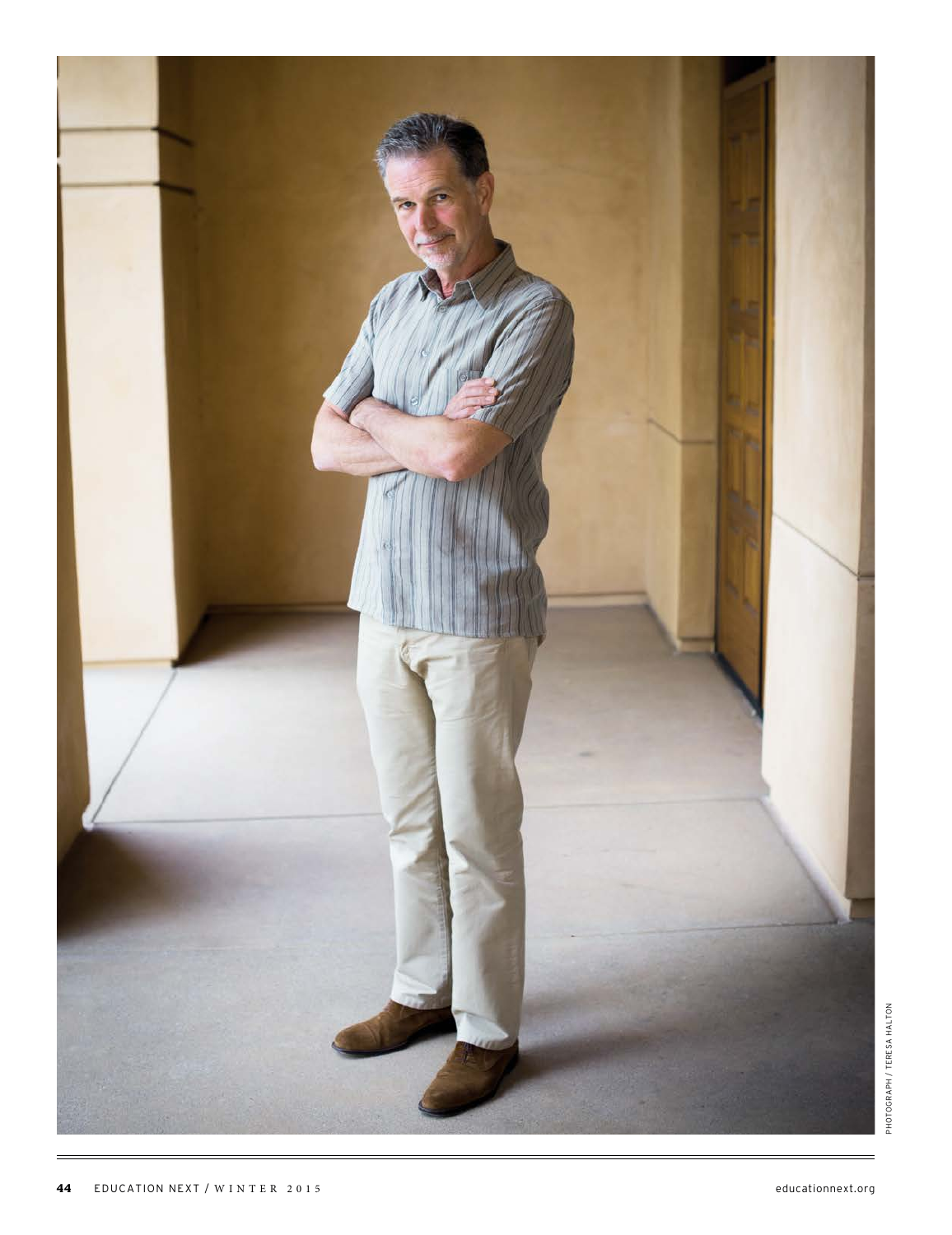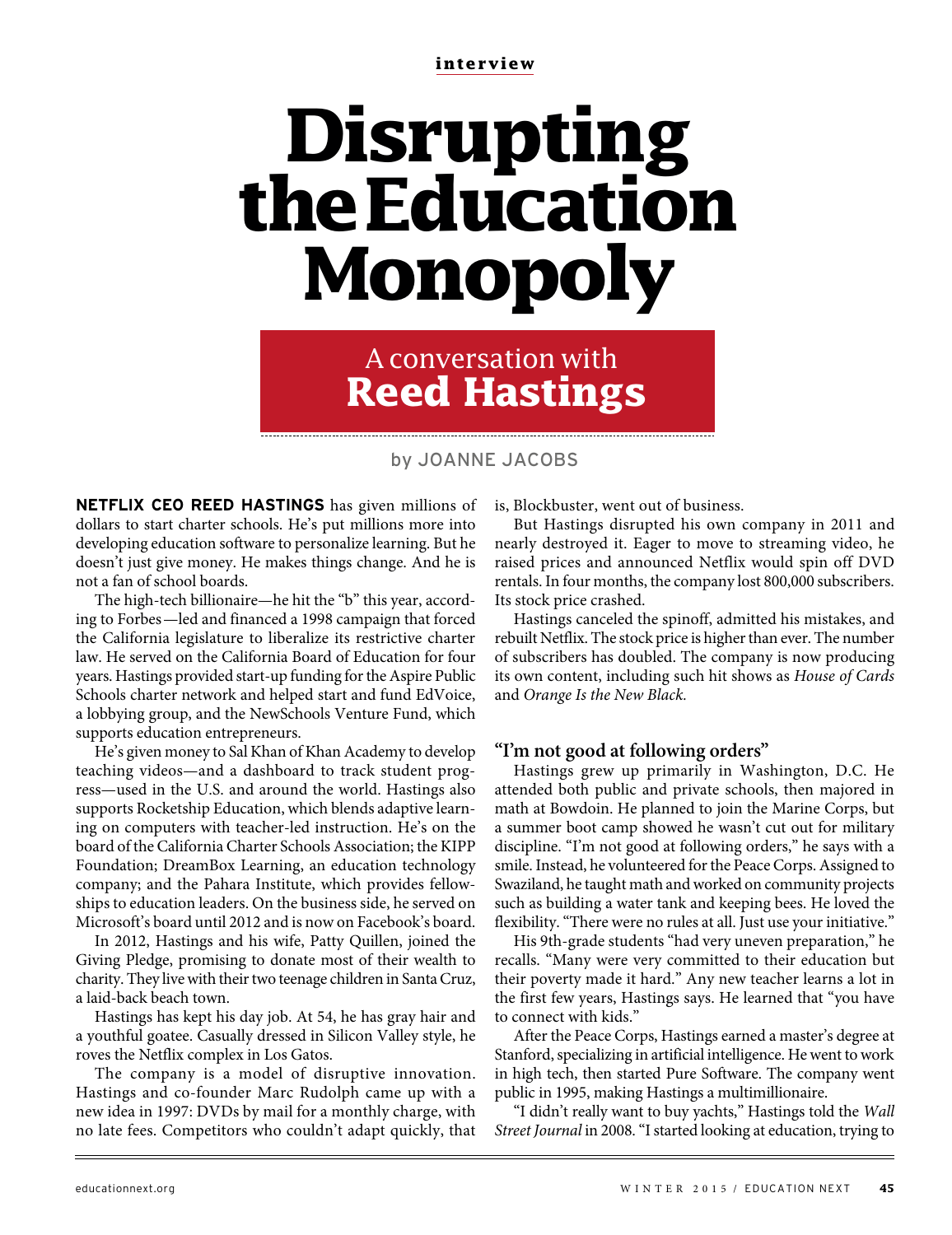**interview**

# **Disrupting the Education Monopoly**

A conversation with **Reed Hastings**

by JOANNE JACOBS

**NETFLIX CEO REED HASTINGS** has given millions of dollars to start charter schools. He's put millions more into developing education software to personalize learning. But he doesn't just give money. He makes things change. And he is not a fan of school boards.

The high-tech billionaire—he hit the "b" this year, according to Forbes—led and financed a 1998 campaign that forced the California legislature to liberalize its restrictive charter law. He served on the California Board of Education for four years. Hastings provided start-up funding for the Aspire Public Schools charter network and helped start and fund EdVoice, a lobbying group, and the NewSchools Venture Fund, which supports education entrepreneurs.

He's given money to Sal Khan of Khan Academy to develop teaching videos—and a dashboard to track student progress—used in the U.S. and around the world. Hastings also supports Rocketship Education, which blends adaptive learning on computers with teacher-led instruction. He's on the board of the California Charter Schools Association; the KIPP Foundation; DreamBox Learning, an education technology company; and the Pahara Institute, which provides fellowships to education leaders. On the business side, he served on Microsoft's board until 2012 and is now on Facebook's board.

In 2012, Hastings and his wife, Patty Quillen, joined the Giving Pledge, promising to donate most of their wealth to charity. They live with their two teenage children in Santa Cruz, a laid-back beach town.

Hastings has kept his day job. At 54, he has gray hair and a youthful goatee. Casually dressed in Silicon Valley style, he roves the Netflix complex in Los Gatos.

The company is a model of disruptive innovation. Hastings and co-founder Marc Rudolph came up with a new idea in 1997: DVDs by mail for a monthly charge, with no late fees. Competitors who couldn't adapt quickly, that is, Blockbuster, went out of business.

But Hastings disrupted his own company in 2011 and nearly destroyed it. Eager to move to streaming video, he raised prices and announced Netflix would spin off DVD rentals. In four months, the company lost 800,000 subscribers. Its stock price crashed.

Hastings canceled the spinoff, admitted his mistakes, and rebuilt Netflix. The stock price is higher than ever. The number of subscribers has doubled. The company is now producing its own content, including such hit shows as House of Cards and Orange Is the New Black.

## **"I'm not good at following orders"**

Hastings grew up primarily in Washington, D.C. He attended both public and private schools, then majored in math at Bowdoin. He planned to join the Marine Corps, but a summer boot camp showed he wasn't cut out for military discipline. "I'm not good at following orders," he says with a smile. Instead, he volunteered for the Peace Corps. Assigned to Swaziland, he taught math and worked on community projects such as building a water tank and keeping bees. He loved the flexibility. "There were no rules at all. Just use your initiative."

His 9th-grade students "had very uneven preparation," he recalls. "Many were very committed to their education but their poverty made it hard." Any new teacher learns a lot in the first few years, Hastings says. He learned that "you have to connect with kids."

After the Peace Corps, Hastings earned a master's degree at Stanford, specializing in artificial intelligence. He went to work in high tech, then started Pure Software. The company went public in 1995, making Hastings a multimillionaire.

"I didn't really want to buy yachts," Hastings told the Wall Street Journal in 2008. "I started looking at education, trying to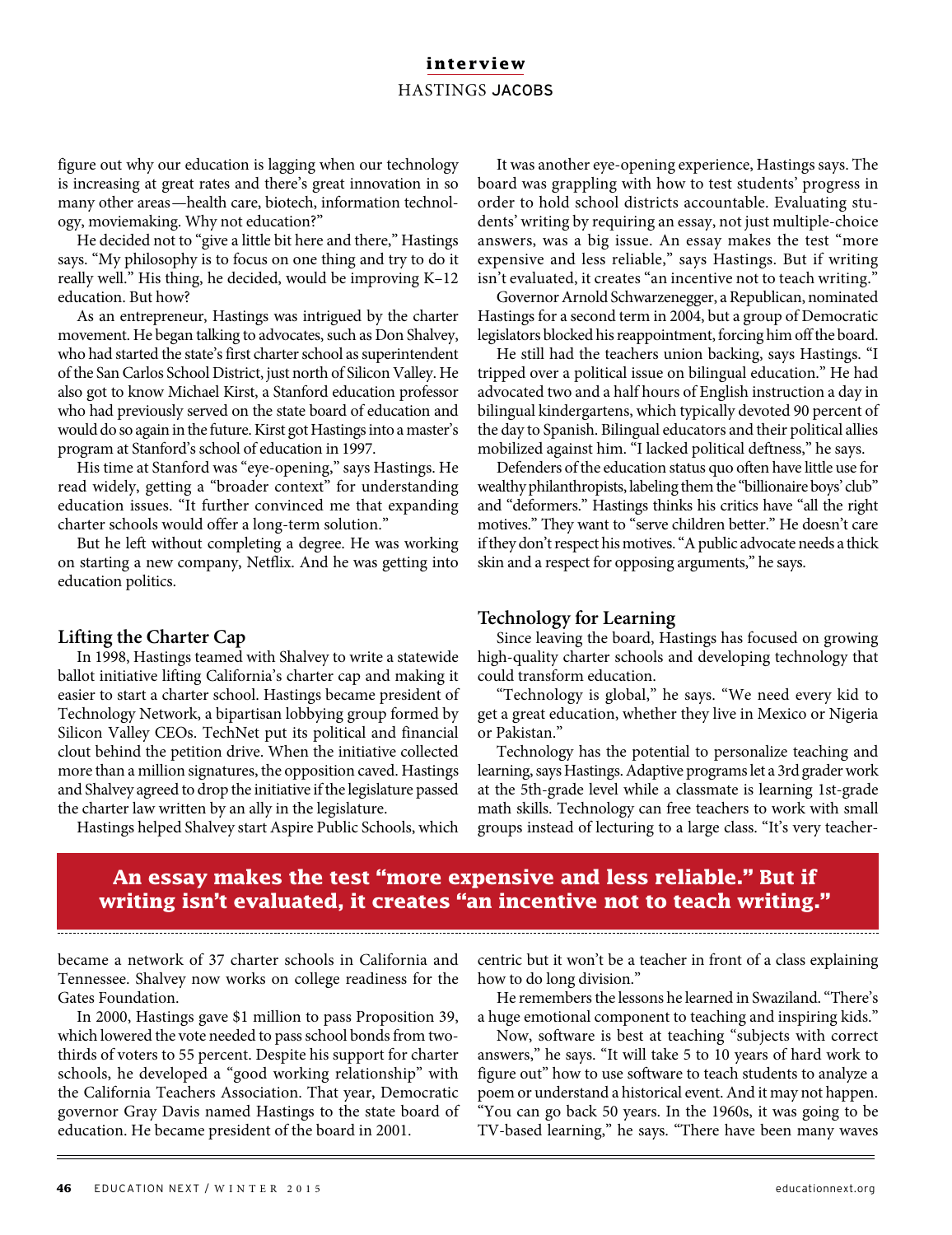## **interview** HASTINGS JACOBS

figure out why our education is lagging when our technology is increasing at great rates and there's great innovation in so many other areas—health care, biotech, information technology, moviemaking. Why not education?"

He decided not to "give a little bit here and there," Hastings says. "My philosophy is to focus on one thing and try to do it really well." His thing, he decided, would be improving K–12 education. But how?

As an entrepreneur, Hastings was intrigued by the charter movement. He began talking to advocates, such as Don Shalvey, who had started the state's first charter school as superintendent of the San Carlos School District, just north of Silicon Valley. He also got to know Michael Kirst, a Stanford education professor who had previously served on the state board of education and would do so again in the future. Kirst got Hastings into a master's program at Stanford's school of education in 1997.

His time at Stanford was "eye-opening," says Hastings. He read widely, getting a "broader context" for understanding education issues. "It further convinced me that expanding charter schools would offer a long-term solution."

But he left without completing a degree. He was working on starting a new company, Netflix. And he was getting into education politics.

#### **Lifting the Charter Cap**

In 1998, Hastings teamed with Shalvey to write a statewide ballot initiative lifting California's charter cap and making it easier to start a charter school. Hastings became president of Technology Network, a bipartisan lobbying group formed by Silicon Valley CEOs. TechNet put its political and financial clout behind the petition drive. When the initiative collected more than a million signatures, the opposition caved. Hastings and Shalvey agreed to drop the initiative if the legislature passed the charter law written by an ally in the legislature.

Hastings helped Shalvey start Aspire Public Schools, which

It was another eye-opening experience, Hastings says. The board was grappling with how to test students' progress in order to hold school districts accountable. Evaluating students' writing by requiring an essay, not just multiple-choice answers, was a big issue. An essay makes the test "more expensive and less reliable," says Hastings. But if writing isn't evaluated, it creates "an incentive not to teach writing."

Governor Arnold Schwarzenegger, a Republican, nominated Hastings for a second term in 2004, but a group of Democratic legislators blocked his reappointment, forcing him off the board.

He still had the teachers union backing, says Hastings. "I tripped over a political issue on bilingual education." He had advocated two and a half hours of English instruction a day in bilingual kindergartens, which typically devoted 90 percent of the day to Spanish. Bilingual educators and their political allies mobilized against him. "I lacked political deftness," he says.

Defenders of the education status quo often have little use for wealthy philanthropists, labeling them the "billionaire boys' club" and "deformers." Hastings thinks his critics have "all the right motives." They want to "serve children better." He doesn't care if they don't respect his motives. "A public advocate needs a thick skin and a respect for opposing arguments," he says.

#### **Technology for Learning**

Since leaving the board, Hastings has focused on growing high-quality charter schools and developing technology that could transform education.

"Technology is global," he says. "We need every kid to get a great education, whether they live in Mexico or Nigeria or Pakistan."

Technology has the potential to personalize teaching and learning, says Hastings. Adaptive programs let a 3rd grader work at the 5th-grade level while a classmate is learning 1st-grade math skills. Technology can free teachers to work with small groups instead of lecturing to a large class. "It's very teacher-

# **An essay makes the test "more expensive and less reliable." But if writing isn't evaluated, it creates "an incentive not to teach writing."**

became a network of 37 charter schools in California and Tennessee. Shalvey now works on college readiness for the Gates Foundation.

In 2000, Hastings gave \$1 million to pass Proposition 39, which lowered the vote needed to pass school bonds from twothirds of voters to 55 percent. Despite his support for charter schools, he developed a "good working relationship" with the California Teachers Association. That year, Democratic governor Gray Davis named Hastings to the state board of education. He became president of the board in 2001.

centric but it won't be a teacher in front of a class explaining how to do long division."

He remembers the lessons he learned in Swaziland. "There's a huge emotional component to teaching and inspiring kids."

Now, software is best at teaching "subjects with correct answers," he says. "It will take 5 to 10 years of hard work to figure out" how to use software to teach students to analyze a poem or understand a historical event. And it may not happen. "You can go back 50 years. In the 1960s, it was going to be TV-based learning," he says. "There have been many waves